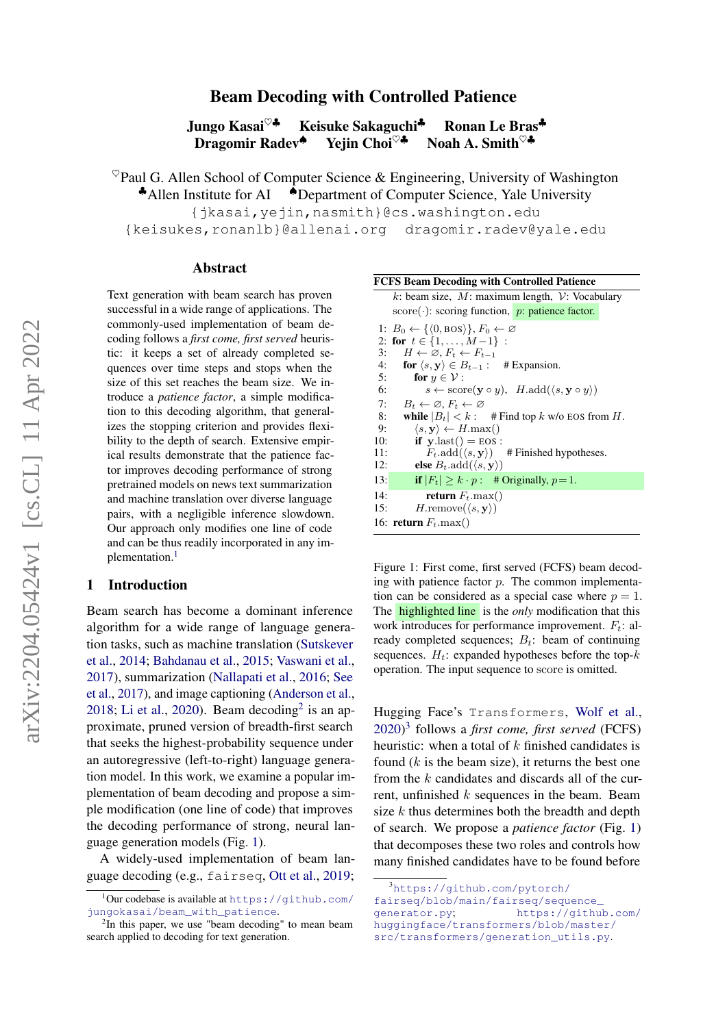# Beam Decoding with Controlled Patience

Jungo Kasai<sup>♡♣</sup> Keisuke Sakaguchi<sup>♣</sup> Ronan Le Bras<sup>♣</sup><br>Dragomir Radev<sup>♠</sup> Yejin Choi<sup>♡♣</sup> Noah A. Smith<sup>♡♣</sup> Dragomir Radev<sup>◆</sup>

 $^{\heartsuit}$ Paul G. Allen School of Computer Science & Engineering, University of Washington

♣Allen Institute for AI ♠Department of Computer Science, Yale University

{jkasai,yejin,nasmith}@cs.washington.edu

{keisukes,ronanlb}@allenai.org dragomir.radev@yale.edu

#### Abstract

Text generation with beam search has proven successful in a wide range of applications. The commonly-used implementation of beam decoding follows a *first come, first served* heuristic: it keeps a set of already completed sequences over time steps and stops when the size of this set reaches the beam size. We introduce a *patience factor*, a simple modification to this decoding algorithm, that generalizes the stopping criterion and provides flexibility to the depth of search. Extensive empirical results demonstrate that the patience factor improves decoding performance of strong pretrained models on news text summarization and machine translation over diverse language pairs, with a negligible inference slowdown. Our approach only modifies one line of code and can be thus readily incorporated in any im-plementation.<sup>[1](#page-0-0)</sup>

## 1 Introduction

Beam search has become a dominant inference algorithm for a wide range of language generation tasks, such as machine translation [\(Sutskever](#page-6-0) [et al.,](#page-6-0) [2014;](#page-6-0) [Bahdanau et al.,](#page-4-0) [2015;](#page-4-0) [Vaswani et al.,](#page-6-1) [2017\)](#page-6-1), summarization [\(Nallapati et al.,](#page-5-0) [2016;](#page-5-0) [See](#page-6-2) [et al.,](#page-6-2) [2017\)](#page-6-2), and image captioning [\(Anderson et al.,](#page-4-1) [2018;](#page-4-1) [Li et al.,](#page-5-1) [2020\)](#page-5-1). Beam decoding<sup>[2](#page-0-1)</sup> is an approximate, pruned version of breadth-first search that seeks the highest-probability sequence under an autoregressive (left-to-right) language generation model. In this work, we examine a popular implementation of beam decoding and propose a simple modification (one line of code) that improves the decoding performance of strong, neural language generation models (Fig. [1\)](#page-0-2).

A widely-used implementation of beam language decoding (e.g., fairseq, [Ott et al.,](#page-5-2) [2019;](#page-5-2)

<span id="page-0-2"></span>FCFS Beam Decoding with Controlled Patience

k: beam size,  $M$ : maximum length,  $V$ : Vocabulary score( $\cdot$ ): scoring function, *p*: patience factor. 1:  $B_0 \leftarrow \{ \langle 0, \text{BOS} \rangle \}, F_0 \leftarrow \emptyset$ 2: for  $t \in \{1, ..., M-1\}$ : 3:  $H \leftarrow \emptyset, F_t \leftarrow F_{t-1}$ <br>4: for  $\langle s, y \rangle \in B_{t-1}$ : for  $\langle s, y \rangle \in B_{t-1}$ : # Expansion. 5: for  $y \in \mathcal{V}$ : 6:  $s \leftarrow \text{score}(\mathbf{y} \circ y), \ \ H.\text{add}(\langle s, \mathbf{y} \circ y \rangle)$ 7:  $B_t \leftarrow \emptyset$ ,  $F_t \leftarrow \emptyset$ 8: while  $|B_t| < k$ : # Find top k w/o EOS from H. 9:  $\langle s, \mathbf{y} \rangle \leftarrow H \cdot \max($ 10: **if**  $y$ .last() = EOS : 11:  $F_t \cdot \text{add}(\langle s, \mathbf{y} \rangle)$  # Finished hypotheses. 12: **else**  $B_t$ .add $(\langle s, \mathbf{y} \rangle)$ 13: **if**  $|F_t| \ge k \cdot p$  : # Originally,  $p=1$ . 14: **return**  $F_t$ .max()<br>15: *H*.remove( $\langle s, \mathbf{v} \rangle$ )  $H$ .remove $(\langle s, y \rangle)$ 16: return  $F_t$ .max()

Figure 1: First come, first served (FCFS) beam decoding with patience factor  $p$ . The common implementation can be considered as a special case where  $p = 1$ . The highlighted line is the *only* modification that this work introduces for performance improvement.  $F_t$ : already completed sequences;  $B_t$ : beam of continuing sequences.  $H_t$ : expanded hypotheses before the top- $k$ operation. The input sequence to score is omitted.

Hugging Face's Transformers, [Wolf et al.,](#page-6-3) [2020\)](#page-6-3) [3](#page-0-3) follows a *first come, first served* (FCFS) heuristic: when a total of  $k$  finished candidates is found  $(k$  is the beam size), it returns the best one from the k candidates and discards all of the current, unfinished  $k$  sequences in the beam. Beam size  $k$  thus determines both the breadth and depth of search. We propose a *patience factor* (Fig. [1\)](#page-0-2) that decomposes these two roles and controls how many finished candidates have to be found before

<span id="page-0-0"></span> $1$ Our codebase is available at [https://github.com/](https://github.com/jungokasai/beam_with_patience) [jungokasai/beam\\_with\\_patience](https://github.com/jungokasai/beam_with_patience).

<span id="page-0-1"></span><sup>&</sup>lt;sup>2</sup>In this paper, we use "beam decoding" to mean beam search applied to decoding for text generation.

<span id="page-0-3"></span><sup>3</sup>[https://github.com/pytorch/](https://github.com/pytorch/fairseq/blob/main/fairseq/sequence_generator.py) [fairseq/blob/main/fairseq/sequence\\_](https://github.com/pytorch/fairseq/blob/main/fairseq/sequence_generator.py) [generator.py](https://github.com/pytorch/fairseq/blob/main/fairseq/sequence_generator.py); [https://github.com/](https://github.com/huggingface/transformers/blob/master/src/transformers/generation_utils.py) [huggingface/transformers/blob/master/](https://github.com/huggingface/transformers/blob/master/src/transformers/generation_utils.py) [src/transformers/generation\\_utils.py](https://github.com/huggingface/transformers/blob/master/src/transformers/generation_utils.py).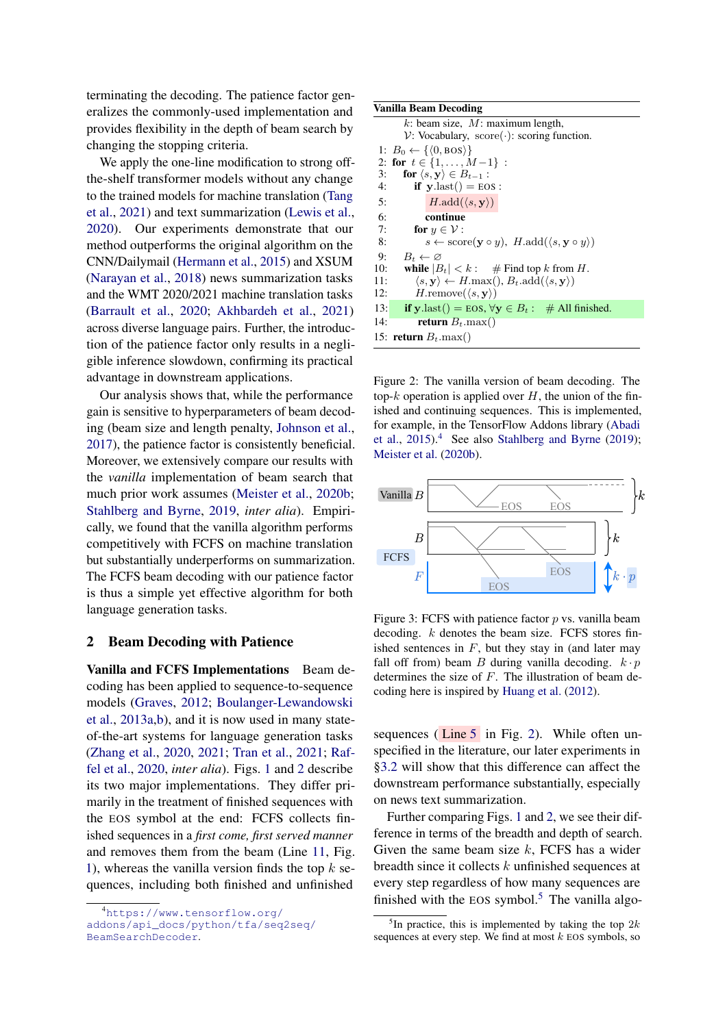terminating the decoding. The patience factor generalizes the commonly-used implementation and provides flexibility in the depth of beam search by changing the stopping criteria.

We apply the one-line modification to strong offthe-shelf transformer models without any change to the trained models for machine translation [\(Tang](#page-6-4) [et al.,](#page-6-4) [2021\)](#page-6-4) and text summarization [\(Lewis et al.,](#page-5-3) [2020\)](#page-5-3). Our experiments demonstrate that our method outperforms the original algorithm on the CNN/Dailymail [\(Hermann et al.,](#page-5-4) [2015\)](#page-5-4) and XSUM [\(Narayan et al.,](#page-5-5) [2018\)](#page-5-5) news summarization tasks and the WMT 2020/2021 machine translation tasks [\(Barrault et al.,](#page-4-2) [2020;](#page-4-2) [Akhbardeh et al.,](#page-4-3) [2021\)](#page-4-3) across diverse language pairs. Further, the introduction of the patience factor only results in a negligible inference slowdown, confirming its practical advantage in downstream applications.

Our analysis shows that, while the performance gain is sensitive to hyperparameters of beam decoding (beam size and length penalty, [Johnson et al.,](#page-5-6) [2017\)](#page-5-6), the patience factor is consistently beneficial. Moreover, we extensively compare our results with the *vanilla* implementation of beam search that much prior work assumes [\(Meister et al.,](#page-5-7) [2020b;](#page-5-7) [Stahlberg and Byrne,](#page-6-5) [2019,](#page-6-5) *inter alia*). Empirically, we found that the vanilla algorithm performs competitively with FCFS on machine translation but substantially underperforms on summarization. The FCFS beam decoding with our patience factor is thus a simple yet effective algorithm for both language generation tasks.

## 2 Beam Decoding with Patience

Vanilla and FCFS Implementations Beam decoding has been applied to sequence-to-sequence models [\(Graves,](#page-4-4) [2012;](#page-4-4) [Boulanger-Lewandowski](#page-4-5) [et al.,](#page-4-5) [2013a](#page-4-5)[,b\)](#page-4-6), and it is now used in many stateof-the-art systems for language generation tasks [\(Zhang et al.,](#page-6-6) [2020,](#page-6-6) [2021;](#page-6-7) [Tran et al.,](#page-6-8) [2021;](#page-6-8) [Raf](#page-5-8)[fel et al.,](#page-5-8) [2020,](#page-5-8) *inter alia*). Figs. [1](#page-0-2) and [2](#page-1-0) describe its two major implementations. They differ primarily in the treatment of finished sequences with the EOS symbol at the end: FCFS collects finished sequences in a *first come, first served manner* and removes them from the beam (Line [11,](#page-0-2) Fig. [1\)](#page-0-2), whereas the vanilla version finds the top  $k$  sequences, including both finished and unfinished

#### <span id="page-1-0"></span>Vanilla Beam Decoding

 $k$ : beam size,  $M$ : maximum length,  $V:$  Vocabulary, score( $\cdot$ ): scoring function. 1:  $B_0 \leftarrow \{ \langle 0, \text{BOS} \rangle \}$ 2: for  $t \in \{1, \ldots, M-1\}$ : 3: for  $\langle s, y \rangle \in B_{t-1}$  : 4: if  $y$ .last() = EOS : 5:  $H.\text{add}(\langle s, \mathbf{y} \rangle)$ 6: continue 7: for  $y \in \mathcal{V}$ : 8:  $s \leftarrow \text{score}(\mathbf{y} \circ y), H.\text{add}(\langle s, \mathbf{y} \circ y \rangle)$ 9:  $B_t \leftarrow \varnothing$ 10: while  $|B_t| < k$ : # Find top k from H.<br>11:  $\langle s, \mathbf{v} \rangle \leftarrow H \cdot \max(\mathbf{0}, B_t \cdot \text{add}(\langle s, \mathbf{v} \rangle))$  $\langle s, y \rangle \leftarrow H \cdot \max(0, B_t \cdot \text{add}(\langle s, y \rangle))$ 12:  $H$ .remove $(\langle s, \mathbf{y} \rangle)$ 13: **if** y.last() = EOS,  $\forall y \in B_t : \#$  All finished. 14: return  $B_t$ .max() 15: return  $B_t$ .max()

Figure 2: The vanilla version of beam decoding. The top- $k$  operation is applied over  $H$ , the union of the finished and continuing sequences. This is implemented, for example, in the TensorFlow Addons library [\(Abadi](#page-4-7) [et al.,](#page-4-7)  $2015$ .<sup>[4](#page-1-1)</sup> See also [Stahlberg and Byrne](#page-6-5) [\(2019\)](#page-6-5); [Meister et al.](#page-5-7) [\(2020b\)](#page-5-7).

<span id="page-1-3"></span>

Figure 3: FCFS with patience factor  $p$  vs. vanilla beam decoding.  $k$  denotes the beam size. FCFS stores finished sentences in  $F$ , but they stay in (and later may fall off from) beam B during vanilla decoding.  $k \cdot p$ determines the size of  $F$ . The illustration of beam decoding here is inspired by [Huang et al.](#page-5-9) [\(2012\)](#page-5-9).

sequences ( $\overline{\text{Line 5}}$  $\overline{\text{Line 5}}$  $\overline{\text{Line 5}}$  in Fig. [2\)](#page-1-0). While often unspecified in the literature, our later experiments in [§3.2](#page-2-0) will show that this difference can affect the downstream performance substantially, especially on news text summarization.

Further comparing Figs. [1](#page-0-2) and [2,](#page-1-0) we see their difference in terms of the breadth and depth of search. Given the same beam size  $k$ , FCFS has a wider breadth since it collects k unfinished sequences at every step regardless of how many sequences are finished with the EOS symbol.<sup>[5](#page-1-2)</sup> The vanilla algo-

<span id="page-1-1"></span><sup>4</sup>[https://www.tensorflow.org/](https://www.tensorflow.org/addons/api_docs/python/tfa/seq2seq/BeamSearchDecoder) [addons/api\\_docs/python/tfa/seq2seq/](https://www.tensorflow.org/addons/api_docs/python/tfa/seq2seq/BeamSearchDecoder) [BeamSearchDecoder](https://www.tensorflow.org/addons/api_docs/python/tfa/seq2seq/BeamSearchDecoder).

<span id="page-1-2"></span><sup>&</sup>lt;sup>5</sup>In practice, this is implemented by taking the top  $2k$ sequences at every step. We find at most  $k$  EOS symbols, so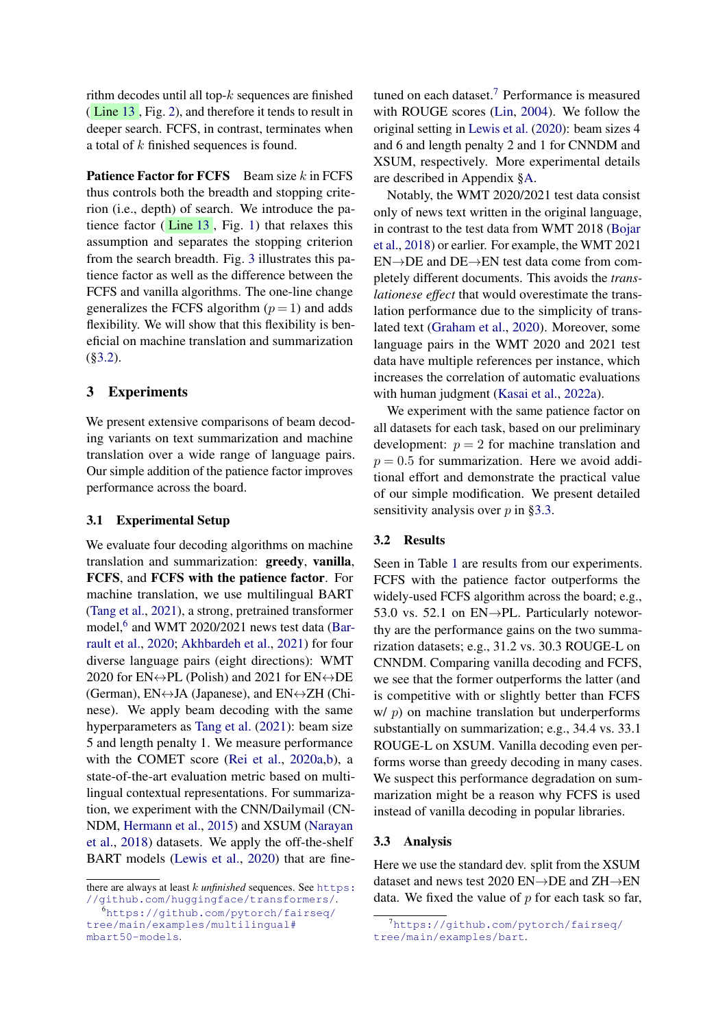rithm decodes until all top- $k$  sequences are finished ( Line [13](#page-1-0) , Fig. [2\)](#page-1-0), and therefore it tends to result in deeper search. FCFS, in contrast, terminates when a total of k finished sequences is found.

**Patience Factor for FCFS** Beam size  $k$  in FCFS thus controls both the breadth and stopping criterion (i.e., depth) of search. We introduce the patience factor  $(Line 13, Fig. 1)$  $(Line 13, Fig. 1)$  $(Line 13, Fig. 1)$  $(Line 13, Fig. 1)$  that relaxes this assumption and separates the stopping criterion from the search breadth. Fig. [3](#page-1-3) illustrates this patience factor as well as the difference between the FCFS and vanilla algorithms. The one-line change generalizes the FCFS algorithm  $(p = 1)$  and adds flexibility. We will show that this flexibility is beneficial on machine translation and summarization ([§3.2\)](#page-2-0).

## 3 Experiments

We present extensive comparisons of beam decoding variants on text summarization and machine translation over a wide range of language pairs. Our simple addition of the patience factor improves performance across the board.

## 3.1 Experimental Setup

We evaluate four decoding algorithms on machine translation and summarization: greedy, vanilla, FCFS, and FCFS with the patience factor. For machine translation, we use multilingual BART [\(Tang et al.,](#page-6-4) [2021\)](#page-6-4), a strong, pretrained transformer model,<sup>[6](#page-2-1)</sup> and WMT 2020/2021 news test data [\(Bar](#page-4-2)[rault et al.,](#page-4-2) [2020;](#page-4-2) [Akhbardeh et al.,](#page-4-3) [2021\)](#page-4-3) for four diverse language pairs (eight directions): WMT 2020 for  $EN \leftrightarrow PL$  (Polish) and 2021 for  $EN \leftrightarrow DE$ (German),  $EN \leftrightarrow JA$  (Japanese), and  $EN \leftrightarrow ZH$  (Chinese). We apply beam decoding with the same hyperparameters as [Tang et al.](#page-6-4) [\(2021\)](#page-6-4): beam size 5 and length penalty 1. We measure performance with the COMET score [\(Rei et al.,](#page-5-10) [2020a](#page-5-10)[,b\)](#page-5-11), a state-of-the-art evaluation metric based on multilingual contextual representations. For summarization, we experiment with the CNN/Dailymail (CN-NDM, [Hermann et al.,](#page-5-4) [2015\)](#page-5-4) and XSUM [\(Narayan](#page-5-5) [et al.,](#page-5-5) [2018\)](#page-5-5) datasets. We apply the off-the-shelf BART models [\(Lewis et al.,](#page-5-3) [2020\)](#page-5-3) that are finetuned on each dataset.[7](#page-2-2) Performance is measured with ROUGE scores [\(Lin,](#page-5-12) [2004\)](#page-5-12). We follow the original setting in [Lewis et al.](#page-5-3) [\(2020\)](#page-5-3): beam sizes 4 and 6 and length penalty 2 and 1 for CNNDM and XSUM, respectively. More experimental details are described in Appendix [§A.](#page-7-0)

Notably, the WMT 2020/2021 test data consist only of news text written in the original language, in contrast to the test data from WMT 2018 [\(Bojar](#page-4-8) [et al.,](#page-4-8) [2018\)](#page-4-8) or earlier. For example, the WMT 2021 EN→DE and DE→EN test data come from completely different documents. This avoids the *translationese effect* that would overestimate the translation performance due to the simplicity of translated text [\(Graham et al.,](#page-4-9) [2020\)](#page-4-9). Moreover, some language pairs in the WMT 2020 and 2021 test data have multiple references per instance, which increases the correlation of automatic evaluations with human judgment [\(Kasai et al.,](#page-5-13) [2022a\)](#page-5-13).

We experiment with the same patience factor on all datasets for each task, based on our preliminary development:  $p = 2$  for machine translation and  $p = 0.5$  for summarization. Here we avoid additional effort and demonstrate the practical value of our simple modification. We present detailed sensitivity analysis over  $p$  in [§3.3.](#page-2-3)

## <span id="page-2-0"></span>3.2 Results

Seen in Table [1](#page-3-0) are results from our experiments. FCFS with the patience factor outperforms the widely-used FCFS algorithm across the board; e.g., 53.0 vs. 52.1 on EN→PL. Particularly noteworthy are the performance gains on the two summarization datasets; e.g., 31.2 vs. 30.3 ROUGE-L on CNNDM. Comparing vanilla decoding and FCFS, we see that the former outperforms the latter (and is competitive with or slightly better than FCFS  $w/p$ ) on machine translation but underperforms substantially on summarization; e.g., 34.4 vs. 33.1 ROUGE-L on XSUM. Vanilla decoding even performs worse than greedy decoding in many cases. We suspect this performance degradation on summarization might be a reason why FCFS is used instead of vanilla decoding in popular libraries.

#### <span id="page-2-3"></span>3.3 Analysis

Here we use the standard dev. split from the XSUM dataset and news test 2020 EN→DE and ZH→EN data. We fixed the value of  $p$  for each task so far,

there are always at least k *unfinished* sequences. See [https:](https://github.com/huggingface/transformers/) [//github.com/huggingface/transformers/](https://github.com/huggingface/transformers/).

<span id="page-2-1"></span><sup>6</sup>[https://github.com/pytorch/fairseq/](https://github.com/pytorch/fairseq/tree/main/examples/multilingual#mbart50-models) [tree/main/examples/multilingual#](https://github.com/pytorch/fairseq/tree/main/examples/multilingual#mbart50-models) [mbart50-models](https://github.com/pytorch/fairseq/tree/main/examples/multilingual#mbart50-models).

<span id="page-2-2"></span><sup>7</sup>[https://github.com/pytorch/fairseq/](https://github.com/pytorch/fairseq/tree/main/examples/bart) [tree/main/examples/bart](https://github.com/pytorch/fairseq/tree/main/examples/bart).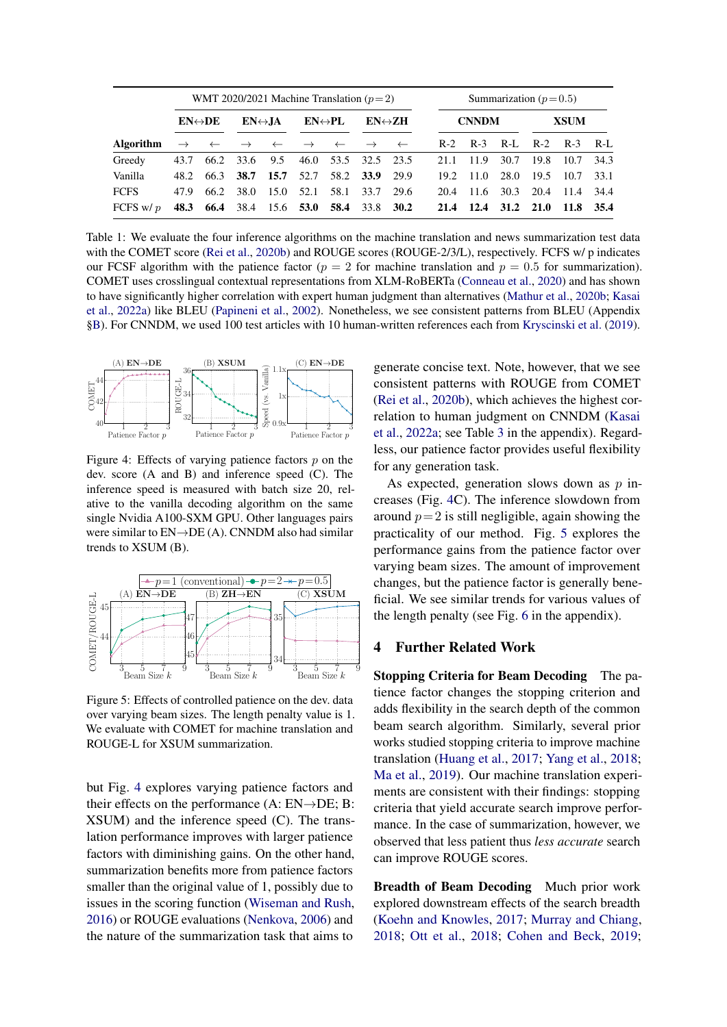<span id="page-3-0"></span>

|                  | WMT 2020/2021 Machine Translation ( $p=2$ ) |      |                         |                                                                                  |                         |                     |                         |                            | Summarization ( $p=0.5$ ) |                |      |             |             |      |
|------------------|---------------------------------------------|------|-------------------------|----------------------------------------------------------------------------------|-------------------------|---------------------|-------------------------|----------------------------|---------------------------|----------------|------|-------------|-------------|------|
|                  | $EN \leftrightarrow DE$                     |      | $EN \leftrightarrow JA$ |                                                                                  | $EN \leftrightarrow PL$ |                     | $EN \leftrightarrow ZH$ |                            | <b>CNNDM</b>              |                |      | <b>XSUM</b> |             |      |
| <b>Algorithm</b> |                                             |      |                         | $\rightarrow$ $\leftarrow$ $\rightarrow$ $\leftarrow$ $\rightarrow$ $\leftarrow$ |                         |                     |                         | $\rightarrow$ $\leftarrow$ | $R-2$                     | $R-3$          | R-L  |             | R-2 R-3 R-L |      |
| Greedy           | 43.7                                        |      |                         | 66.2 33.6 9.5                                                                    |                         | 46.0 53.5 32.5 23.5 |                         |                            | 21.1                      | 11.9           | 30.7 | 19.8        | 10.7        | 34.3 |
| Vanilla          | 48.2                                        | 66.3 | 38.7                    | 15.7                                                                             | 52.7                    |                     | 58.2 33.9 29.9          |                            | 19.2                      | -11.0          | 28.0 | 19.5        | 10.7        | 33.1 |
| <b>FCFS</b>      | 47.9                                        | 66.2 | 38.0                    | 15.0                                                                             | 52.1                    | 58.1                | 33.7                    | 29.6                       | 20.4                      | 11.6           | 30.3 | 20.4        | -11.4       | 34.4 |
| FCFS w/ $p$      | 48.3                                        |      |                         | 66.4 38.4 15.6 53.0                                                              |                         |                     | 58.4 33.8 30.2          |                            |                           | 21.4 12.4 31.2 |      | 21.0        | 11.8        | 35.4 |

Table 1: We evaluate the four inference algorithms on the machine translation and news summarization test data with the COMET score [\(Rei et al.,](#page-5-11) [2020b\)](#page-5-11) and ROUGE scores (ROUGE-2/3/L), respectively. FCFS w/p indicates our FCSF algorithm with the patience factor ( $p = 2$  for machine translation and  $p = 0.5$  for summarization). COMET uses crosslingual contextual representations from XLM-RoBERTa [\(Conneau et al.,](#page-4-10) [2020\)](#page-4-10) and has shown to have significantly higher correlation with expert human judgment than alternatives [\(Mathur et al.,](#page-5-14) [2020b;](#page-5-14) [Kasai](#page-5-13) [et al.,](#page-5-13) [2022a\)](#page-5-13) like BLEU [\(Papineni et al.,](#page-5-15) [2002\)](#page-5-15). Nonetheless, we see consistent patterns from BLEU (Appendix [§B\)](#page-7-1). For CNNDM, we used 100 test articles with 10 human-written references each from [Kryscinski et al.](#page-5-16) [\(2019\)](#page-5-16).

<span id="page-3-1"></span>

Figure 4: Effects of varying patience factors  $p$  on the dev. score (A and B) and inference speed (C). The inference speed is measured with batch size 20, relative to the vanilla decoding algorithm on the same single Nvidia A100-SXM GPU. Other languages pairs were similar to EN→DE (A). CNNDM also had similar trends to XSUM (B).

<span id="page-3-2"></span>

Figure 5: Effects of controlled patience on the dev. data over varying beam sizes. The length penalty value is 1. We evaluate with COMET for machine translation and ROUGE-L for XSUM summarization.

but Fig. [4](#page-3-1) explores varying patience factors and their effects on the performance  $(A: EN \rightarrow DE; B)$ : XSUM) and the inference speed (C). The translation performance improves with larger patience factors with diminishing gains. On the other hand, summarization benefits more from patience factors smaller than the original value of 1, possibly due to issues in the scoring function [\(Wiseman and Rush,](#page-6-9) [2016\)](#page-6-9) or ROUGE evaluations [\(Nenkova,](#page-5-17) [2006\)](#page-5-17) and the nature of the summarization task that aims to

generate concise text. Note, however, that we see consistent patterns with ROUGE from COMET [\(Rei et al.,](#page-5-11) [2020b\)](#page-5-11), which achieves the highest correlation to human judgment on CNNDM [\(Kasai](#page-5-13) [et al.,](#page-5-13) [2022a;](#page-5-13) see Table [3](#page-8-0) in the appendix). Regardless, our patience factor provides useful flexibility for any generation task.

As expected, generation slows down as  $p$  increases (Fig. [4C](#page-3-1)). The inference slowdown from around  $p = 2$  is still negligible, again showing the practicality of our method. Fig. [5](#page-3-2) explores the performance gains from the patience factor over varying beam sizes. The amount of improvement changes, but the patience factor is generally beneficial. We see similar trends for various values of the length penalty (see Fig. [6](#page-7-2) in the appendix).

# 4 Further Related Work

Stopping Criteria for Beam Decoding The patience factor changes the stopping criterion and adds flexibility in the search depth of the common beam search algorithm. Similarly, several prior works studied stopping criteria to improve machine translation [\(Huang et al.,](#page-5-18) [2017;](#page-5-18) [Yang et al.,](#page-6-10) [2018;](#page-6-10) [Ma et al.,](#page-5-19) [2019\)](#page-5-19). Our machine translation experiments are consistent with their findings: stopping criteria that yield accurate search improve performance. In the case of summarization, however, we observed that less patient thus *less accurate* search can improve ROUGE scores.

Breadth of Beam Decoding Much prior work explored downstream effects of the search breadth [\(Koehn and Knowles,](#page-5-20) [2017;](#page-5-20) [Murray and Chiang,](#page-5-21) [2018;](#page-5-21) [Ott et al.,](#page-5-22) [2018;](#page-5-22) [Cohen and Beck,](#page-4-11) [2019;](#page-4-11)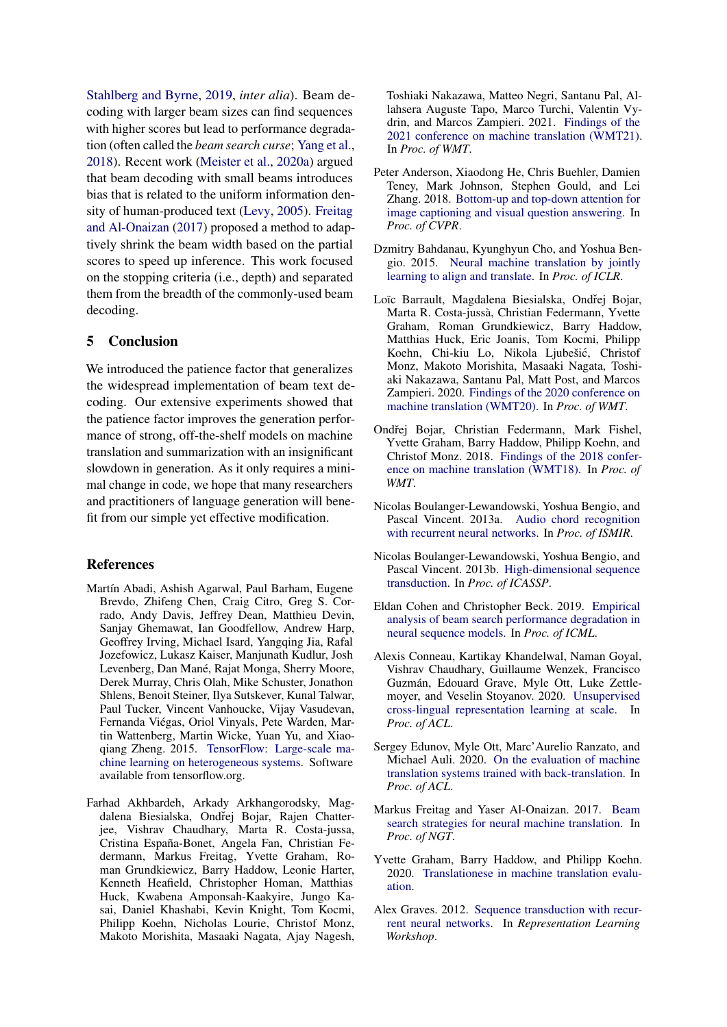[Stahlberg and Byrne,](#page-6-5) [2019,](#page-6-5) *inter alia*). Beam decoding with larger beam sizes can find sequences with higher scores but lead to performance degradation (often called the *beam search curse*; [Yang et al.,](#page-6-10) [2018\)](#page-6-10). Recent work [\(Meister et al.,](#page-5-23) [2020a\)](#page-5-23) argued that beam decoding with small beams introduces bias that is related to the uniform information density of human-produced text [\(Levy,](#page-5-24) [2005\)](#page-5-24). [Freitag](#page-4-12) [and Al-Onaizan](#page-4-12) [\(2017\)](#page-4-12) proposed a method to adaptively shrink the beam width based on the partial scores to speed up inference. This work focused on the stopping criteria (i.e., depth) and separated them from the breadth of the commonly-used beam decoding.

# 5 Conclusion

We introduced the patience factor that generalizes the widespread implementation of beam text decoding. Our extensive experiments showed that the patience factor improves the generation performance of strong, off-the-shelf models on machine translation and summarization with an insignificant slowdown in generation. As it only requires a minimal change in code, we hope that many researchers and practitioners of language generation will benefit from our simple yet effective modification.

## References

- <span id="page-4-7"></span>Martín Abadi, Ashish Agarwal, Paul Barham, Eugene Brevdo, Zhifeng Chen, Craig Citro, Greg S. Corrado, Andy Davis, Jeffrey Dean, Matthieu Devin, Sanjay Ghemawat, Ian Goodfellow, Andrew Harp, Geoffrey Irving, Michael Isard, Yangqing Jia, Rafal Jozefowicz, Lukasz Kaiser, Manjunath Kudlur, Josh Levenberg, Dan Mané, Rajat Monga, Sherry Moore, Derek Murray, Chris Olah, Mike Schuster, Jonathon Shlens, Benoit Steiner, Ilya Sutskever, Kunal Talwar, Paul Tucker, Vincent Vanhoucke, Vijay Vasudevan, Fernanda Viégas, Oriol Vinyals, Pete Warden, Martin Wattenberg, Martin Wicke, Yuan Yu, and Xiaoqiang Zheng. 2015. [TensorFlow: Large-scale ma](http://tensorflow.org/)[chine learning on heterogeneous systems.](http://tensorflow.org/) Software available from tensorflow.org.
- <span id="page-4-3"></span>Farhad Akhbardeh, Arkady Arkhangorodsky, Magdalena Biesialska, Ondřej Bojar, Rajen Chatterjee, Vishrav Chaudhary, Marta R. Costa-jussa, Cristina España-Bonet, Angela Fan, Christian Federmann, Markus Freitag, Yvette Graham, Roman Grundkiewicz, Barry Haddow, Leonie Harter, Kenneth Heafield, Christopher Homan, Matthias Huck, Kwabena Amponsah-Kaakyire, Jungo Kasai, Daniel Khashabi, Kevin Knight, Tom Kocmi, Philipp Koehn, Nicholas Lourie, Christof Monz, Makoto Morishita, Masaaki Nagata, Ajay Nagesh,

Toshiaki Nakazawa, Matteo Negri, Santanu Pal, Allahsera Auguste Tapo, Marco Turchi, Valentin Vydrin, and Marcos Zampieri. 2021. [Findings of the](https://aclanthology.org/2021.wmt-1.1) [2021 conference on machine translation \(WMT21\).](https://aclanthology.org/2021.wmt-1.1) In *Proc. of WMT*.

- <span id="page-4-1"></span>Peter Anderson, Xiaodong He, Chris Buehler, Damien Teney, Mark Johnson, Stephen Gould, and Lei Zhang. 2018. [Bottom-up and top-down attention for](https://arxiv.org/abs/1707.07998) [image captioning and visual question answering.](https://arxiv.org/abs/1707.07998) In *Proc. of CVPR*.
- <span id="page-4-0"></span>Dzmitry Bahdanau, Kyunghyun Cho, and Yoshua Bengio. 2015. [Neural machine translation by jointly](https://arxiv.org/abs/1409.0473) [learning to align and translate.](https://arxiv.org/abs/1409.0473) In *Proc. of ICLR*.
- <span id="page-4-2"></span>Loïc Barrault, Magdalena Biesialska, Ondřej Bojar, Marta R. Costa-jussà, Christian Federmann, Yvette Graham, Roman Grundkiewicz, Barry Haddow, Matthias Huck, Eric Joanis, Tom Kocmi, Philipp Koehn, Chi-kiu Lo, Nikola Ljubešic, Christof ´ Monz, Makoto Morishita, Masaaki Nagata, Toshiaki Nakazawa, Santanu Pal, Matt Post, and Marcos Zampieri. 2020. [Findings of the 2020 conference on](https://aclanthology.org/2020.wmt-1.1) [machine translation \(WMT20\).](https://aclanthology.org/2020.wmt-1.1) In *Proc. of WMT*.
- <span id="page-4-8"></span>Ondřej Bojar, Christian Federmann, Mark Fishel, Yvette Graham, Barry Haddow, Philipp Koehn, and Christof Monz. 2018. [Findings of the 2018 confer](https://aclanthology.org/W18-6401)[ence on machine translation \(WMT18\).](https://aclanthology.org/W18-6401) In *Proc. of WMT*.
- <span id="page-4-5"></span>Nicolas Boulanger-Lewandowski, Yoshua Bengio, and Pascal Vincent. 2013a. [Audio chord recognition](https://archives.ismir.net/ismir2013/paper/000243.pdf) [with recurrent neural networks.](https://archives.ismir.net/ismir2013/paper/000243.pdf) In *Proc. of ISMIR*.
- <span id="page-4-6"></span>Nicolas Boulanger-Lewandowski, Yoshua Bengio, and Pascal Vincent. 2013b. [High-dimensional sequence](https://arxiv.org/abs/1212.1936) [transduction.](https://arxiv.org/abs/1212.1936) In *Proc. of ICASSP*.
- <span id="page-4-11"></span>Eldan Cohen and Christopher Beck. 2019. [Empirical](https://proceedings.mlr.press/v97/cohen19a.html) [analysis of beam search performance degradation in](https://proceedings.mlr.press/v97/cohen19a.html) [neural sequence models.](https://proceedings.mlr.press/v97/cohen19a.html) In *Proc. of ICML*.
- <span id="page-4-10"></span>Alexis Conneau, Kartikay Khandelwal, Naman Goyal, Vishrav Chaudhary, Guillaume Wenzek, Francisco Guzmán, Edouard Grave, Myle Ott, Luke Zettlemoyer, and Veselin Stoyanov. 2020. [Unsupervised](https://arxiv.org/abs/1911.02116) [cross-lingual representation learning at scale.](https://arxiv.org/abs/1911.02116) In *Proc. of ACL*.
- <span id="page-4-13"></span>Sergey Edunov, Myle Ott, Marc'Aurelio Ranzato, and Michael Auli. 2020. [On the evaluation of machine](https://arxiv.org/abs/1908.05204) [translation systems trained with back-translation.](https://arxiv.org/abs/1908.05204) In *Proc. of ACL*.
- <span id="page-4-12"></span>Markus Freitag and Yaser Al-Onaizan. 2017. [Beam](https://arxiv.org/abs/1702.01806) [search strategies for neural machine translation.](https://arxiv.org/abs/1702.01806) In *Proc. of NGT*.
- <span id="page-4-9"></span>Yvette Graham, Barry Haddow, and Philipp Koehn. 2020. [Translationese in machine translation evalu](https://arxiv.org/abs/1906.09833)[ation.](https://arxiv.org/abs/1906.09833)
- <span id="page-4-4"></span>Alex Graves. 2012. [Sequence transduction with recur](https://arxiv.org/abs/1211.3711)[rent neural networks.](https://arxiv.org/abs/1211.3711) In *Representation Learning Workshop*.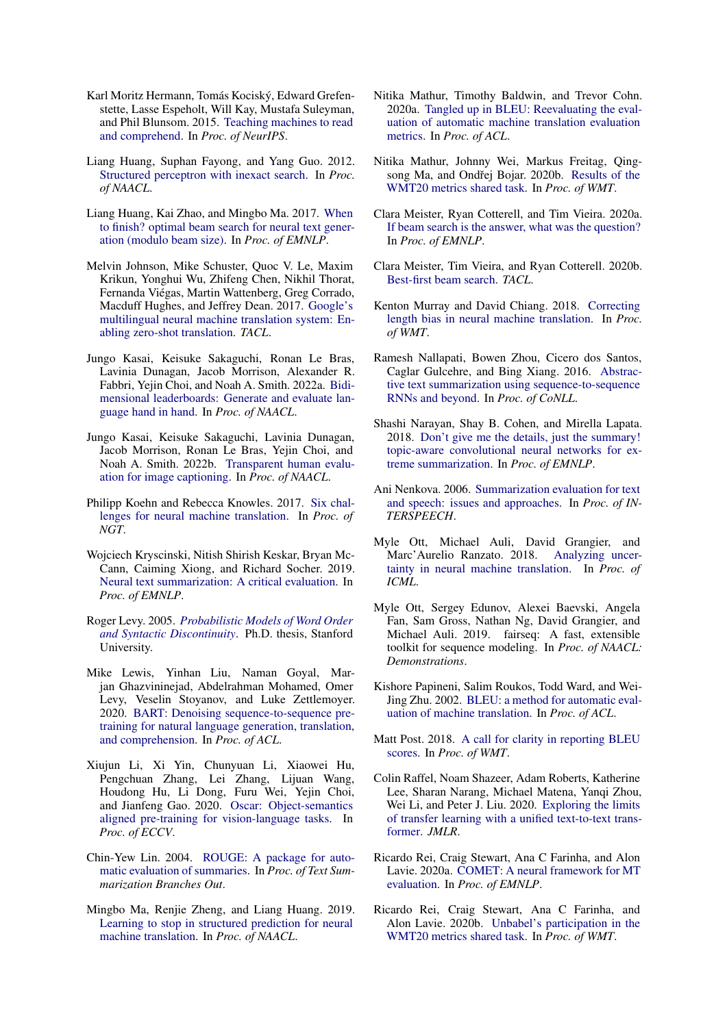- <span id="page-5-4"></span>Karl Moritz Hermann, Tomás Kociský, Edward Grefenstette, Lasse Espeholt, Will Kay, Mustafa Suleyman, and Phil Blunsom. 2015. [Teaching machines to read](http://arxiv.org/abs/1506.03340) [and comprehend.](http://arxiv.org/abs/1506.03340) In *Proc. of NeurIPS*.
- <span id="page-5-9"></span>Liang Huang, Suphan Fayong, and Yang Guo. 2012. [Structured perceptron with inexact search.](https://aclanthology.org/N12-1015) In *Proc. of NAACL*.
- <span id="page-5-18"></span>Liang Huang, Kai Zhao, and Mingbo Ma. 2017. [When](https://aclanthology.org/D17-1227) [to finish? optimal beam search for neural text gener](https://aclanthology.org/D17-1227)[ation \(modulo beam size\).](https://aclanthology.org/D17-1227) In *Proc. of EMNLP*.
- <span id="page-5-6"></span>Melvin Johnson, Mike Schuster, Quoc V. Le, Maxim Krikun, Yonghui Wu, Zhifeng Chen, Nikhil Thorat, Fernanda Viégas, Martin Wattenberg, Greg Corrado, Macduff Hughes, and Jeffrey Dean. 2017. [Google's](https://arxiv.org/abs/1611.04558) [multilingual neural machine translation system: En](https://arxiv.org/abs/1611.04558)[abling zero-shot translation.](https://arxiv.org/abs/1611.04558) *TACL*.
- <span id="page-5-13"></span>Jungo Kasai, Keisuke Sakaguchi, Ronan Le Bras, Lavinia Dunagan, Jacob Morrison, Alexander R. Fabbri, Yejin Choi, and Noah A. Smith. 2022a. [Bidi](https://arxiv.org/abs/2112.04139)[mensional leaderboards: Generate and evaluate lan](https://arxiv.org/abs/2112.04139)[guage hand in hand.](https://arxiv.org/abs/2112.04139) In *Proc. of NAACL*.
- <span id="page-5-27"></span>Jungo Kasai, Keisuke Sakaguchi, Lavinia Dunagan, Jacob Morrison, Ronan Le Bras, Yejin Choi, and Noah A. Smith. 2022b. [Transparent human evalu](https://arxiv.org/abs/2111.08940)[ation for image captioning.](https://arxiv.org/abs/2111.08940) In *Proc. of NAACL*.
- <span id="page-5-20"></span>Philipp Koehn and Rebecca Knowles. 2017. [Six chal](https://arxiv.org/abs/1706.03872)[lenges for neural machine translation.](https://arxiv.org/abs/1706.03872) In *Proc. of NGT*.
- <span id="page-5-16"></span>Wojciech Kryscinski, Nitish Shirish Keskar, Bryan Mc-Cann, Caiming Xiong, and Richard Socher. 2019. [Neural text summarization: A critical evaluation.](https://arxiv.org/abs/1908.08960) In *Proc. of EMNLP*.
- <span id="page-5-24"></span>Roger Levy. 2005. *[Probabilistic Models of Word Order](https://idiom.ucsd.edu/~rlevy/papers/thesis.pdf) [and Syntactic Discontinuity](https://idiom.ucsd.edu/~rlevy/papers/thesis.pdf)*. Ph.D. thesis, Stanford University.
- <span id="page-5-3"></span>Mike Lewis, Yinhan Liu, Naman Goyal, Marjan Ghazvininejad, Abdelrahman Mohamed, Omer Levy, Veselin Stoyanov, and Luke Zettlemoyer. 2020. [BART: Denoising sequence-to-sequence pre](https://arxiv.org/abs/1910.13461)[training for natural language generation, translation,](https://arxiv.org/abs/1910.13461) [and comprehension.](https://arxiv.org/abs/1910.13461) In *Proc. of ACL*.
- <span id="page-5-1"></span>Xiujun Li, Xi Yin, Chunyuan Li, Xiaowei Hu, Pengchuan Zhang, Lei Zhang, Lijuan Wang, Houdong Hu, Li Dong, Furu Wei, Yejin Choi, and Jianfeng Gao. 2020. [Oscar: Object-semantics](https://arxiv.org/abs/2004.06165) [aligned pre-training for vision-language tasks.](https://arxiv.org/abs/2004.06165) In *Proc. of ECCV*.
- <span id="page-5-12"></span>Chin-Yew Lin. 2004. [ROUGE: A package for auto](https://www.aclweb.org/anthology/W04-1013/)[matic evaluation of summaries.](https://www.aclweb.org/anthology/W04-1013/) In *Proc. of Text Summarization Branches Out*.
- <span id="page-5-19"></span>Mingbo Ma, Renjie Zheng, and Liang Huang. 2019. [Learning to stop in structured prediction for neural](https://arxiv.org/abs/1904.01032) [machine translation.](https://arxiv.org/abs/1904.01032) In *Proc. of NAACL*.
- <span id="page-5-26"></span>Nitika Mathur, Timothy Baldwin, and Trevor Cohn. 2020a. [Tangled up in BLEU: Reevaluating the eval](https://arxiv.org/abs/2006.06264)[uation of automatic machine translation evaluation](https://arxiv.org/abs/2006.06264) [metrics.](https://arxiv.org/abs/2006.06264) In *Proc. of ACL*.
- <span id="page-5-14"></span>Nitika Mathur, Johnny Wei, Markus Freitag, Qing-song Ma, and Ondřej Bojar. 2020b. [Results of the](https://aclanthology.org/2020.wmt-1.77) [WMT20 metrics shared task.](https://aclanthology.org/2020.wmt-1.77) In *Proc. of WMT*.
- <span id="page-5-23"></span>Clara Meister, Ryan Cotterell, and Tim Vieira. 2020a. [If beam search is the answer, what was the question?](https://arxiv.org/abs/2010.02650) In *Proc. of EMNLP*.
- <span id="page-5-7"></span>Clara Meister, Tim Vieira, and Ryan Cotterell. 2020b. [Best-first beam search.](https://arxiv.org/abs/2007.03909) *TACL*.
- <span id="page-5-21"></span>Kenton Murray and David Chiang. 2018. [Correcting](https://arxiv.org/abs/1808.10006) [length bias in neural machine translation.](https://arxiv.org/abs/1808.10006) In *Proc. of WMT*.
- <span id="page-5-0"></span>Ramesh Nallapati, Bowen Zhou, Cicero dos Santos, Caglar Gulcehre, and Bing Xiang. 2016. [Abstrac](https://arxiv.org/abs/1602.06023)[tive text summarization using sequence-to-sequence](https://arxiv.org/abs/1602.06023) [RNNs and beyond.](https://arxiv.org/abs/1602.06023) In *Proc. of CoNLL*.
- <span id="page-5-5"></span>Shashi Narayan, Shay B. Cohen, and Mirella Lapata. 2018. [Don't give me the details, just the summary!](https://arxiv.org/abs/1808.08745) [topic-aware convolutional neural networks for ex](https://arxiv.org/abs/1808.08745)[treme summarization.](https://arxiv.org/abs/1808.08745) In *Proc. of EMNLP*.
- <span id="page-5-17"></span>Ani Nenkova. 2006. [Summarization evaluation for text](https://www.cis.upenn.edu/~nenkova/papers/sumEval.pdf) [and speech: issues and approaches.](https://www.cis.upenn.edu/~nenkova/papers/sumEval.pdf) In *Proc. of IN-TERSPEECH*.
- <span id="page-5-22"></span>Myle Ott, Michael Auli, David Grangier, and<br>Marc'Aurelio Ranzato. 2018. Analyzing uncer-Marc'Aurelio Ranzato. 2018. [tainty in neural machine translation.](http://arxiv.org/abs/1803.00047) In *Proc. of ICML*.
- <span id="page-5-2"></span>Myle Ott, Sergey Edunov, Alexei Baevski, Angela Fan, Sam Gross, Nathan Ng, David Grangier, and Michael Auli. 2019. fairseq: A fast, extensible toolkit for sequence modeling. In *Proc. of NAACL: Demonstrations*.
- <span id="page-5-15"></span>Kishore Papineni, Salim Roukos, Todd Ward, and Wei-Jing Zhu. 2002. [BLEU: a method for automatic eval](https://www.aclweb.org/anthology/P02-1040)[uation of machine translation.](https://www.aclweb.org/anthology/P02-1040) In *Proc. of ACL*.
- <span id="page-5-25"></span>Matt Post. 2018. [A call for clarity in reporting BLEU](https://www.aclweb.org/anthology/W18-6319) [scores.](https://www.aclweb.org/anthology/W18-6319) In *Proc. of WMT*.
- <span id="page-5-8"></span>Colin Raffel, Noam Shazeer, Adam Roberts, Katherine Lee, Sharan Narang, Michael Matena, Yanqi Zhou, Wei Li, and Peter J. Liu. 2020. [Exploring the limits](https://arxiv.org/abs/1910.10683) [of transfer learning with a unified text-to-text trans](https://arxiv.org/abs/1910.10683)[former.](https://arxiv.org/abs/1910.10683) *JMLR*.
- <span id="page-5-10"></span>Ricardo Rei, Craig Stewart, Ana C Farinha, and Alon Lavie. 2020a. [COMET: A neural framework for MT](https://arxiv.org/abs/2009.09025) [evaluation.](https://arxiv.org/abs/2009.09025) In *Proc. of EMNLP*.
- <span id="page-5-11"></span>Ricardo Rei, Craig Stewart, Ana C Farinha, and Alon Lavie. 2020b. [Unbabel's participation in the](https://arxiv.org/abs/2010.15535) [WMT20 metrics shared task.](https://arxiv.org/abs/2010.15535) In *Proc. of WMT*.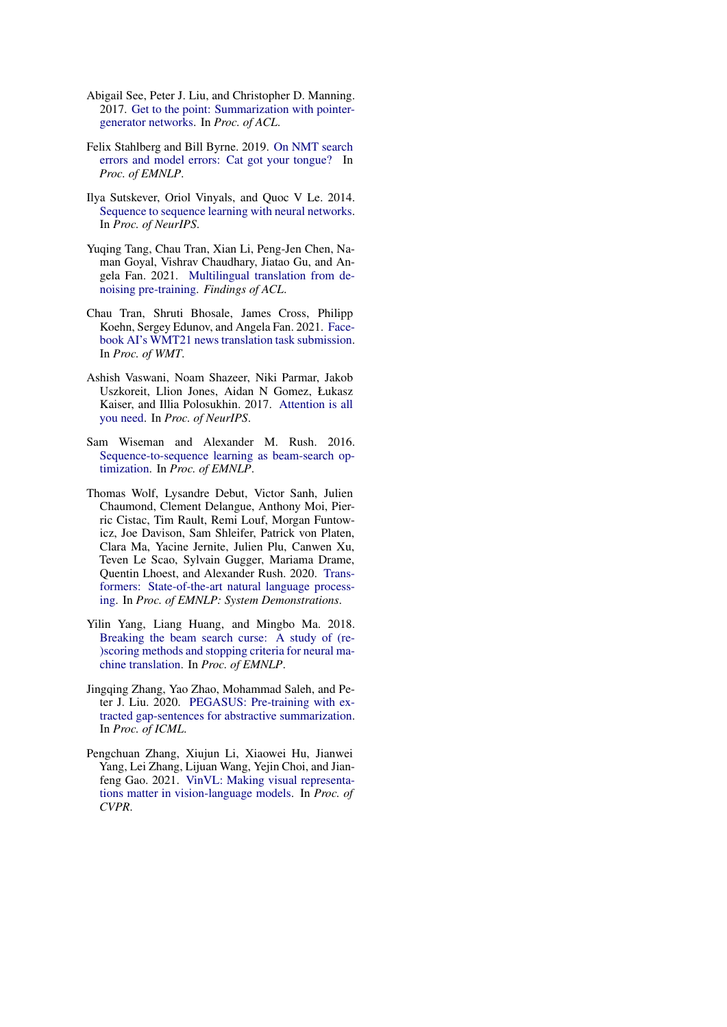- <span id="page-6-2"></span>Abigail See, Peter J. Liu, and Christopher D. Manning. 2017. [Get to the point: Summarization with pointer](https://arxiv.org/abs/1704.04368)[generator networks.](https://arxiv.org/abs/1704.04368) In *Proc. of ACL*.
- <span id="page-6-5"></span>Felix Stahlberg and Bill Byrne. 2019. [On NMT search](https://arxiv.org/abs/1908.10090) [errors and model errors: Cat got your tongue?](https://arxiv.org/abs/1908.10090) In *Proc. of EMNLP*.
- <span id="page-6-0"></span>Ilya Sutskever, Oriol Vinyals, and Quoc V Le. 2014. [Sequence to sequence learning with neural networks.](https://arxiv.org/abs/1409.3215) In *Proc. of NeurIPS*.
- <span id="page-6-4"></span>Yuqing Tang, Chau Tran, Xian Li, Peng-Jen Chen, Naman Goyal, Vishrav Chaudhary, Jiatao Gu, and Angela Fan. 2021. [Multilingual translation from de](https://arxiv.org/abs/2001.08210)[noising pre-training.](https://arxiv.org/abs/2001.08210) *Findings of ACL*.
- <span id="page-6-8"></span>Chau Tran, Shruti Bhosale, James Cross, Philipp Koehn, Sergey Edunov, and Angela Fan. 2021. [Face](https://arxiv.org/abs/2108.03265)[book AI's WMT21 news translation task submission.](https://arxiv.org/abs/2108.03265) In *Proc. of WMT*.
- <span id="page-6-1"></span>Ashish Vaswani, Noam Shazeer, Niki Parmar, Jakob Uszkoreit, Llion Jones, Aidan N Gomez, Łukasz Kaiser, and Illia Polosukhin. 2017. [Attention is all](https://arxiv.org/abs/1706.03762) [you need.](https://arxiv.org/abs/1706.03762) In *Proc. of NeurIPS*.
- <span id="page-6-9"></span>Sam Wiseman and Alexander M. Rush. 2016. [Sequence-to-sequence learning as beam-search op](https://arxiv.org/abs/1606.02960)[timization.](https://arxiv.org/abs/1606.02960) In *Proc. of EMNLP*.
- <span id="page-6-3"></span>Thomas Wolf, Lysandre Debut, Victor Sanh, Julien Chaumond, Clement Delangue, Anthony Moi, Pierric Cistac, Tim Rault, Remi Louf, Morgan Funtowicz, Joe Davison, Sam Shleifer, Patrick von Platen, Clara Ma, Yacine Jernite, Julien Plu, Canwen Xu, Teven Le Scao, Sylvain Gugger, Mariama Drame, Quentin Lhoest, and Alexander Rush. 2020. [Trans](https://arxiv.org/abs/1910.03771)[formers: State-of-the-art natural language process](https://arxiv.org/abs/1910.03771)[ing.](https://arxiv.org/abs/1910.03771) In *Proc. of EMNLP: System Demonstrations*.
- <span id="page-6-10"></span>Yilin Yang, Liang Huang, and Mingbo Ma. 2018. [Breaking the beam search curse: A study of \(re-](https://arxiv.org/abs/1808.09582) [\)scoring methods and stopping criteria for neural ma](https://arxiv.org/abs/1808.09582)[chine translation.](https://arxiv.org/abs/1808.09582) In *Proc. of EMNLP*.
- <span id="page-6-6"></span>Jingqing Zhang, Yao Zhao, Mohammad Saleh, and Peter J. Liu. 2020. [PEGASUS: Pre-training with ex](https://arxiv.org/abs/1912.08777)[tracted gap-sentences for abstractive summarization.](https://arxiv.org/abs/1912.08777) In *Proc. of ICML*.
- <span id="page-6-7"></span>Pengchuan Zhang, Xiujun Li, Xiaowei Hu, Jianwei Yang, Lei Zhang, Lijuan Wang, Yejin Choi, and Jianfeng Gao. 2021. [VinVL: Making visual representa](https://arxiv.org/abs/2101.00529)[tions matter in vision-language models.](https://arxiv.org/abs/2101.00529) In *Proc. of CVPR*.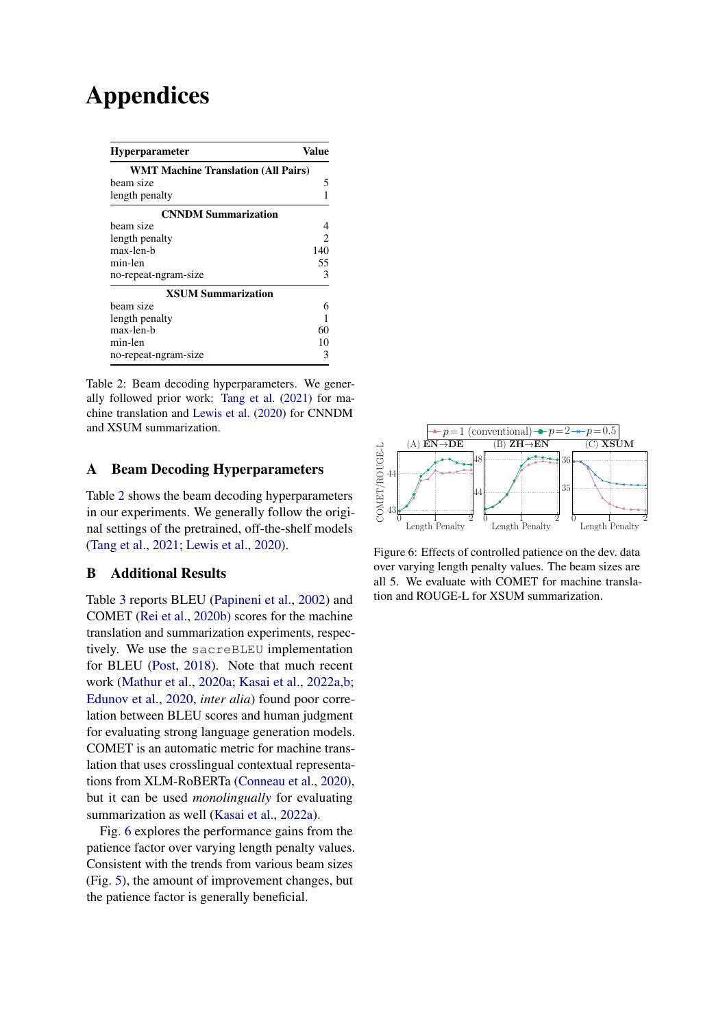# Appendices

<span id="page-7-3"></span>

| <b>Hyperparameter</b>                      | Value |
|--------------------------------------------|-------|
| <b>WMT Machine Translation (All Pairs)</b> |       |
| beam size                                  | 5     |
| length penalty                             |       |
| <b>CNNDM Summarization</b>                 |       |
| beam size                                  | 4     |
| length penalty                             | 2     |
| max-len-b                                  | 140   |
| min-len                                    | 55    |
| no-repeat-ngram-size                       | 3     |
| <b>XSUM Summarization</b>                  |       |
| beam size                                  | 6     |
| length penalty                             |       |
| max-len-h                                  | 60    |
| min-len                                    | 10    |
| no-repeat-ngram-size                       |       |

Table 2: Beam decoding hyperparameters. We generally followed prior work: [Tang et al.](#page-6-4) [\(2021\)](#page-6-4) for machine translation and [Lewis et al.](#page-5-3) [\(2020\)](#page-5-3) for CNNDM and XSUM summarization.

# <span id="page-7-0"></span>A Beam Decoding Hyperparameters

Table [2](#page-7-3) shows the beam decoding hyperparameters in our experiments. We generally follow the original settings of the pretrained, off-the-shelf models [\(Tang et al.,](#page-6-4) [2021;](#page-6-4) [Lewis et al.,](#page-5-3) [2020\)](#page-5-3).

# <span id="page-7-1"></span>B Additional Results

Table [3](#page-8-0) reports BLEU [\(Papineni et al.,](#page-5-15) [2002\)](#page-5-15) and COMET [\(Rei et al.,](#page-5-11) [2020b\)](#page-5-11) scores for the machine translation and summarization experiments, respectively. We use the sacreBLEU implementation for BLEU [\(Post,](#page-5-25) [2018\)](#page-5-25). Note that much recent work [\(Mathur et al.,](#page-5-26) [2020a;](#page-5-26) [Kasai et al.,](#page-5-13) [2022a,](#page-5-13)[b;](#page-5-27) [Edunov et al.,](#page-4-13) [2020,](#page-4-13) *inter alia*) found poor correlation between BLEU scores and human judgment for evaluating strong language generation models. COMET is an automatic metric for machine translation that uses crosslingual contextual representations from XLM-RoBERTa [\(Conneau et al.,](#page-4-10) [2020\)](#page-4-10), but it can be used *monolingually* for evaluating summarization as well [\(Kasai et al.,](#page-5-13) [2022a\)](#page-5-13).

Fig. [6](#page-7-2) explores the performance gains from the patience factor over varying length penalty values. Consistent with the trends from various beam sizes (Fig. [5\)](#page-3-2), the amount of improvement changes, but the patience factor is generally beneficial.

<span id="page-7-2"></span>

Figure 6: Effects of controlled patience on the dev. data over varying length penalty values. The beam sizes are all 5. We evaluate with COMET for machine translation and ROUGE-L for XSUM summarization.